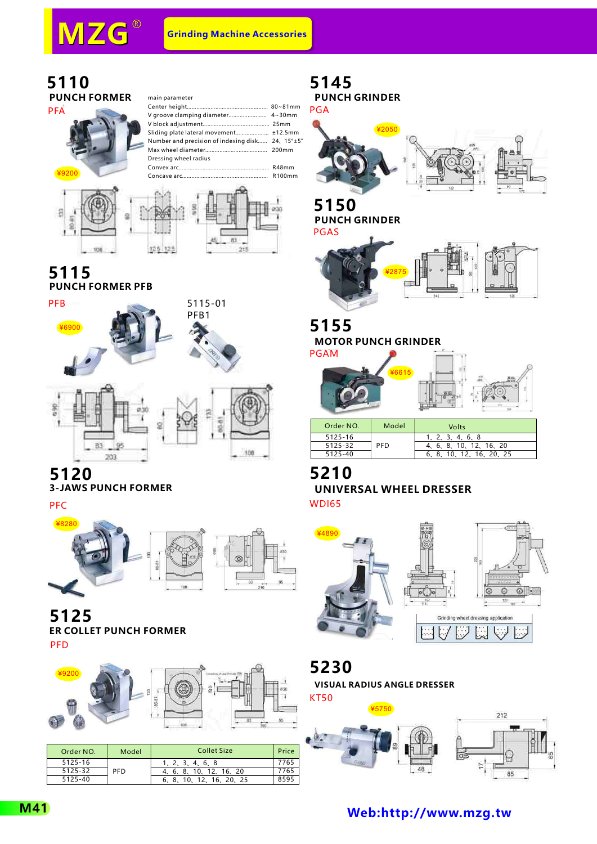#### **5110 PUNCH FORMER**



| main parameter                                   |  |
|--------------------------------------------------|--|
|                                                  |  |
|                                                  |  |
|                                                  |  |
|                                                  |  |
| Number and precision of indexing disk 24, 15°±5" |  |
|                                                  |  |
| Dressing wheel radius                            |  |
|                                                  |  |
|                                                  |  |





#### **5115 PUNCH FORMER PFB**



## **5120**

### **3-JAWS PUNCH FORMER**

PFC



## **5125 ER COLLET PUNCH FORMER**

PFD



| Order NO. | Model | <b>Collet Size</b>       | Price |
|-----------|-------|--------------------------|-------|
| 5125-16   |       | 1, 2, 3, 4, 6, 8         | 7765  |
| 5125-32   | PFD   | 4, 6, 8, 10, 12, 16, 20  | 7765  |
| 5125-40   |       | 6, 8, 10, 12, 16, 20, 25 |       |
|           |       |                          |       |

## **5145**

**PUNCH GRINDER** PGA



**5150 PUNCH GRINDER**



### **5155**

**MOTOR PUNCH GRINDER**



| Order NO. | Model      | Volts                    |
|-----------|------------|--------------------------|
| 5125-16   |            | 1, 2, 3, 4, 6, 8         |
| 5125-32   | <b>PFD</b> | 4, 6, 8, 10, 12, 16, 20  |
| 5125-40   |            | 6, 8, 10, 12, 16, 20, 25 |
|           |            |                          |

#### **5210 UNIVERSAL WHEEL DRESSER** WDI65



## **5230**

**VISUAL RADIUS ANGLE DRESSER**

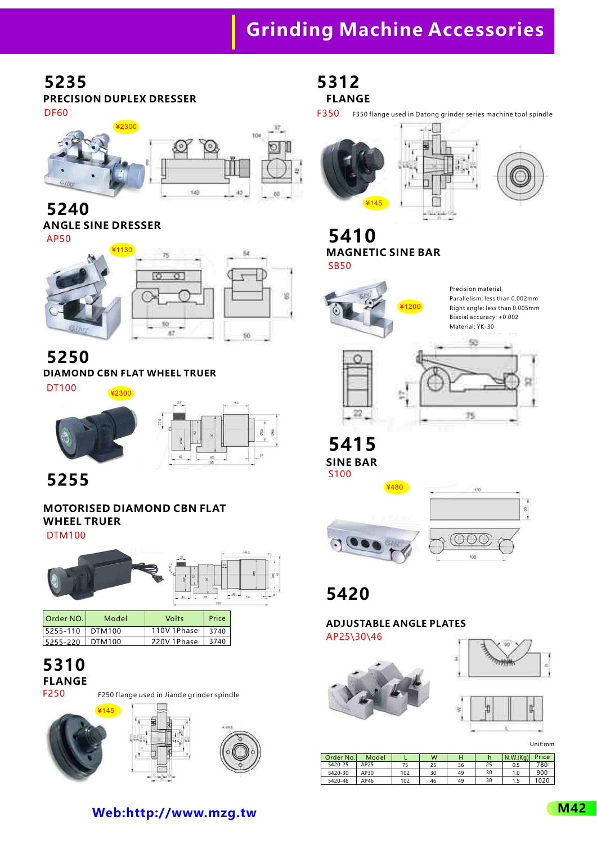# **Grinding Machine Accessories**

#### **5235 PRECISION DUPLEX DRESSER** DF60



**5240 ANGLE SINE DRESSER** AP50



**5250**

**DIAMOND CBN FLAT WHEEL TRUER**

¥2300







**5255**

### **MOTORISED DIAMOND CBN FLAT WHEEL TRUER**

DTM100



| Order NO. | Model  | Volts       | Price |
|-----------|--------|-------------|-------|
| 5255-110  | DTM100 | 110V 1Phase | 3740  |
| 5255-220  | DTM100 | 220V 1Phase | 3740  |

#### **5310 FLANGE** F250

F250 flange used in Jiande grinder spindle



**5312 FLANGE**

F350 F350 flange used in Datong grinder series machine tool spindle



#### **5410 MAGNETIC SINE BAR** SB50



**5415 SINE BAR** S100



**5420**

### **ADJUSTABLE ANGLE PLATES**

AP25\30\46







Unit:mm

| Order No. | Model |     | W  |    |    | N.W.(Ka) | Price |
|-----------|-------|-----|----|----|----|----------|-------|
| 5420-25   | AP25  |     | 25 | 36 | 25 | 0.5      | 780   |
| 5420-30   | AP30  | 102 | 30 | 49 | 30 | 1.0      | 900   |
| 5420-46   | AP46  | 102 | 46 | 49 | 30 | 1.5      | 1020  |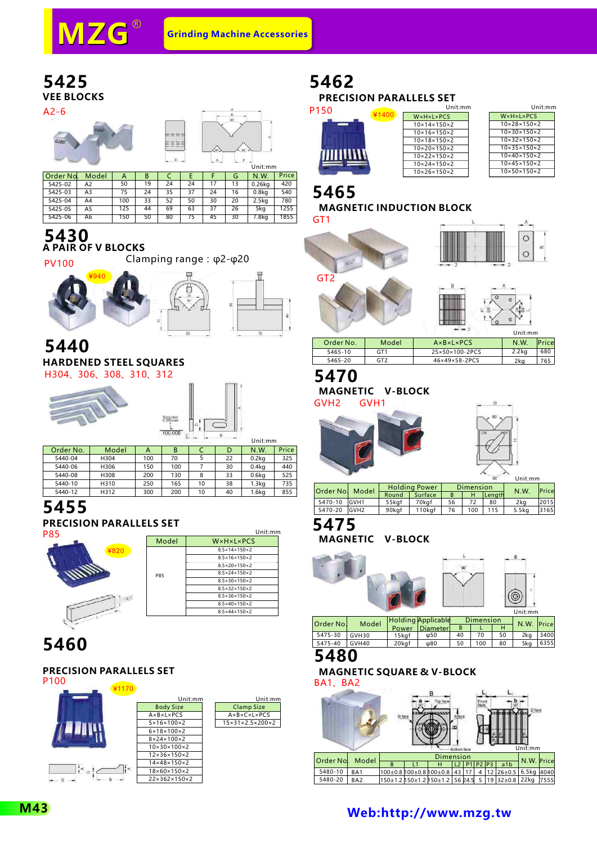



A2-6





| Order No. | Model          | А   | В  |    |    |    | G  | N.W.              | Price |
|-----------|----------------|-----|----|----|----|----|----|-------------------|-------|
| 5425-02   | A2             | 50  | 19 | 24 | 24 | 17 | 13 | 0.26kg            | 420   |
| 5425-03   | A3             | 75  | 24 | 35 | 37 | 24 | 16 | 0.8 <sub>kq</sub> | 540   |
| 5425-04   | A4             | 100 | 33 | 52 | 50 | 30 | 20 | 2.5 <sub>k</sub>  | 780   |
| 5425-05   | A <sub>5</sub> | 125 | 44 | 69 | 63 | 37 | 26 | 5ka               | 1255  |
| 5425-06   | A <sub>6</sub> | 150 | 50 | 80 | 75 | 45 | 30 | 7.8 <sub>k</sub>  | 1855  |

#### **5430 A PAIR OF V BLOCKS**

Clamping range:φ2-φ20 PV100



#### **5440 HARDENED STEEL SQUARES** H304、306、308、310、312



| 100,000 |  | IInifmm |
|---------|--|---------|

 $\overline{a}$  $\rightarrow$ 

|           |       |     |     |    |    | .                 |       |
|-----------|-------|-----|-----|----|----|-------------------|-------|
| Order No. | Model | А   | B   |    | D  | N.W.              | Price |
| 5440-04   | H304  | 100 | 70  |    | 22 | $0.2$ kg          | 325   |
| 5440-06   | H306  | 150 | 100 |    | 30 | 0.4 <sub>kq</sub> | 440   |
| 5440-08   | H308  | 200 | 130 | 8  | 33 | 0.6 <sub>kq</sub> | 525   |
| 5440-10   | H310  | 250 | 165 | 10 | 38 | 1.3 <sub>kq</sub> | 735   |
| 5440-12   | H312  | 300 | 200 | 10 | 40 | 1.6 <sub>kq</sub> | 855   |

### **5455**

**PRECISION PARALLELS SET**



|            | Unit:mm                             |
|------------|-------------------------------------|
| Model      | W×H×L×PCS                           |
|            | $8.5 \times 14 \times 150 \times 2$ |
|            | $8.5 \times 16 \times 150 \times 2$ |
|            | $8.5 \times 20 \times 150 \times 2$ |
| <b>P85</b> | $8.5 \times 24 \times 150 \times 2$ |
|            | $8.5 \times 30 \times 150 \times 2$ |
|            | $8.5 \times 32 \times 150 \times 2$ |
|            | $8.5 \times 36 \times 150 \times 2$ |
|            | $8.5 \times 40 \times 150 \times 2$ |
|            | $8.5 \times 44 \times 150 \times 2$ |

## **5460**

#### **PRECISION PARALLELS SET**



## **5462**

Unit:mm Unit:mm **PRECISION PARALLELS SET**  $\overline{D}$ 

| 50 |      |  |  |
|----|------|--|--|
|    |      |  |  |
|    |      |  |  |
|    | WUNN |  |  |
|    |      |  |  |

| ¥1400 | W×H×L×PCS                    |
|-------|------------------------------|
|       | $10\times14\times150\times2$ |
|       | $10\times16\times150\times2$ |
|       | $10\times18\times150\times2$ |
|       | $10\times20\times150\times2$ |
|       | $10\times22\times150\times2$ |
|       | $10\times24\times150\times2$ |
|       | $10\times26\times150\times2$ |

| Unit:mm                      |  |
|------------------------------|--|
| WxHxLxPCS                    |  |
| $10\times28\times150\times2$ |  |
| $10\times30\times150\times2$ |  |
| $10\times32\times150\times2$ |  |
| $10\times35\times150\times2$ |  |
| $10\times40\times150\times2$ |  |
| $10\times45\times150\times2$ |  |
| $10\times50\times150\times2$ |  |

### **5465**

#### **MAGNETIC INDUCTION BLOCK**







|           |       |                                  | Unit:mm  |              |
|-----------|-------|----------------------------------|----------|--------------|
| Order No. | Model | $A \times B \times L \times PCS$ | N.W.     | <b>Price</b> |
| 5465-10   | GT1   | 25×50×100-2PCS                   | $2.2$ kg | 680          |
| 5465-20   | GT2   | $46\times49\times58-2PCS$        | 2ka      | 765          |
|           |       |                                  |          |              |

## **5470**

**MAGNETIC V-BLOCK**







| Order No. | Model            | <b>Holding Power</b> |         | Dimension | N.W | <b>Price</b> |        |      |
|-----------|------------------|----------------------|---------|-----------|-----|--------------|--------|------|
|           |                  | Round                | Surface |           |     | Lenath       |        |      |
| 5470-10   | <b>GVH1</b>      | 55kaf                | 70kaf   | 56        |     | 80           | 2ka    | 2015 |
| 5470-20   | GVH <sub>2</sub> | 90kaf                | 110kaf  | 76        | 100 | 115          | 5.5 ka | 3165 |

#### **5475**

**MAGNETIC V-BLOCK**



| <b>PRISTING</b> | <b>IVIUUTI</b> |       | Power Diameter | B  |     |    | 19.99.1110c |      |  |
|-----------------|----------------|-------|----------------|----|-----|----|-------------|------|--|
| 5475-30         | GVH30          | 15kaf | ω50            | 40 |     | 50 | 2ka         | 3400 |  |
| 5475-40         | GVH40          | 20kaf | ω80            |    | 100 | 80 | 5ka         | 6355 |  |
| <b>EAON</b>     |                |       |                |    |     |    |             |      |  |

#### **5480**

### **MAGNETIC SQUARE & V-BLOCK**

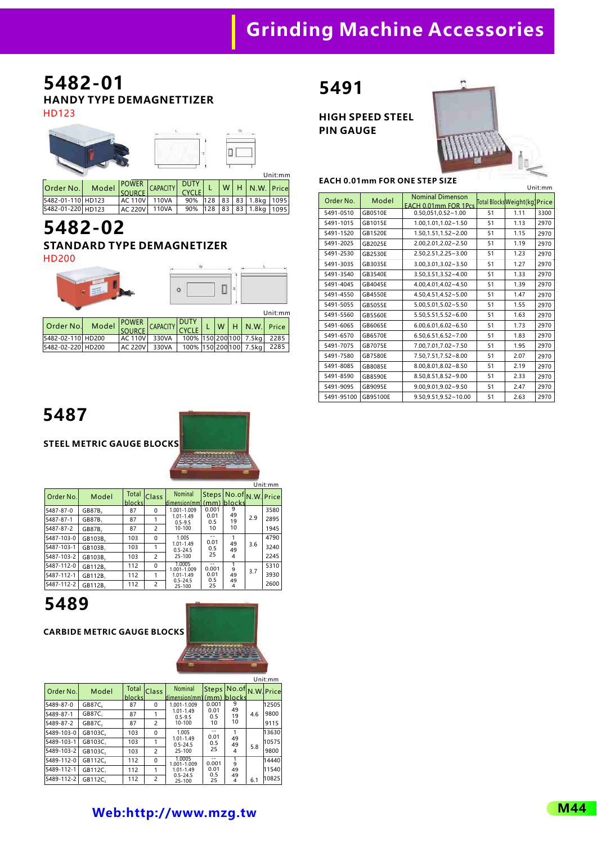# **Grinding Machine Accessories**

### **5482-01 HANDY TYPE DEMAGNETTIZER**

HD123

|                                       |  | <b>CONTRACTOR</b>    |             |     |              | Unit:mm  |  |
|---------------------------------------|--|----------------------|-------------|-----|--------------|----------|--|
| $\bigcap_{n\geq 1}\bigcap_{n\geq n}M$ |  | Model POWER CABACITY | <b>DUTY</b> | ៶៱៸ | <b>NEMAL</b> | الممتدفا |  |

| Order No.         | Model SOURCE CAPACITY CYCLE L |                                        |  |  | $ W $ H $ N.W. $ Price   |  |
|-------------------|-------------------------------|----------------------------------------|--|--|--------------------------|--|
| 5482-01-110 HD123 |                               | AC 110V 110VA 90% 128 83 83 1.8kg 1095 |  |  |                          |  |
| 5482-01-220 HD123 |                               | AC 220V   110VA                        |  |  | 90% 128 83 83 1.8kg 1095 |  |

# **5482-02**

#### **STANDARD TYPE DEMAGNETIZER** HD200

|                   |       | $\circ$        |          |                  |   | Unit:mm |                        |       |
|-------------------|-------|----------------|----------|------------------|---|---------|------------------------|-------|
|                   |       | <b>POWER</b>   |          | <b>DUTY</b>      |   |         |                        |       |
| Order No.         | Model | <b>SOURCE</b>  | CAPACITY | <b>CYCLE</b>     | W | н       | N.W.                   | Price |
| 5482-02-110 HD200 |       | <b>AC 110V</b> | 330VA    | 100% 150 200 100 |   |         | 7.5kg                  | 2285  |
| 5482-02-220 HD200 |       | <b>AC 220V</b> | 330VA    |                  |   |         | 100% 150 200 100 7.5kg | 2285  |

## **5491**

**HIGH SPEED STEEL PIN GAUGE**



#### **EACH 0.01mm FOR ONE STEP SIZE**

|            |                |                                                                                |    |      | Unit:mm |
|------------|----------------|--------------------------------------------------------------------------------|----|------|---------|
| Order No.  | Model          | <b>Nominal Dimenson</b><br>EACH 0.01mm FOR 1Pcs Total Blocks Weight (kg) Price |    |      |         |
| 5491-0510  | GB0510E        | $0.50,051,0.52 - 1.00$                                                         | 51 | 1.11 | 3300    |
| 5491-1015  | GB1015E        | 1.00,1.01,1.02~1.50                                                            | 51 | 1.13 | 2970    |
| 5491-1520  | GB1520E        | $1.50, 1.51, 1.52 - 2.00$                                                      | 51 | 1.15 | 2970    |
| 5491-2025  | GB2025E        | $2.00.2.01.2.02 - 2.50$                                                        | 51 | 1.19 | 2970    |
| 5491-2530  | GB2530E        | $2.50, 2.51, 2.25 - 3.00$                                                      | 51 | 1.23 | 2970    |
| 5491-3035  | GB3035E        | $3.00.3.01.3.02 - 3.50$                                                        | 51 | 1.27 | 2970    |
| 5491-3540  | GB3540E        | 3.50, 3.51, 3.52~4.00                                                          | 51 | 1.33 | 2970    |
| 5491-4045  | GB4045E        | 4.00.4.01.4.02~4.50                                                            | 51 | 1.39 | 2970    |
| 5491-4550  | GB4550E        | 4.50.4.51.4.52~5.00                                                            | 51 | 1.47 | 2970    |
| 5491-5055  | <b>GB5055E</b> | $5.00.5.01.5.02 - 5.50$                                                        | 51 | 1.55 | 2970    |
| 5491-5560  | GB5560E        | $5.50.5.51.5.52 - 6.00$                                                        | 51 | 1.63 | 2970    |
| 5491-6065  | GB6065E        | $6.00, 6.01, 6.02 - 6.50$                                                      | 51 | 1.73 | 2970    |
| 5491-6570  | <b>GB6570E</b> | $6.50, 6.51, 6.52 \sim 7.00$                                                   | 51 | 1.83 | 2970    |
| 5491-7075  | <b>GB7075E</b> | 7.00,7.01,7.02~7.50                                                            | 51 | 1.95 | 2970    |
| 5491-7580  | <b>GB7580E</b> | 7.50,7.51,7.52~8.00                                                            | 51 | 2.07 | 2970    |
| 5491-8085  | GB8085E        | $8.00.8.01.8.02 - 8.50$                                                        | 51 | 2.19 | 2970    |
| 5491-8590  | GB8590E        | 8.50,8.51,8.52~9.00                                                            | 51 | 2.33 | 2970    |
| 5491-9095  | GB9095E        | $9.00, 9.01, 9.02 - 9.50$                                                      | 51 | 2.47 | 2970    |
| 5491-95100 | GB95100E       | $9.50, 9.51, 9.52 \sim 10.00$                                                  | 51 | 2.63 | 2970    |

**5487**

**STEEL METRIC GAUGE BLOCKS**

|            |                     |                  |                |                               |              |                        |     | Unit:mm     |  |  |  |          |     |      |
|------------|---------------------|------------------|----------------|-------------------------------|--------------|------------------------|-----|-------------|--|--|--|----------|-----|------|
| Order No.  | Model               | Total<br>blocksl | Class          | Nominal<br>dimension(mm)      | <b>Steps</b> | No.of<br>$(mm)$ blocks |     | N.W. Pricel |  |  |  |          |     |      |
| 5487-87-0  | GB87B <sub>o</sub>  | 87               | $\Omega$       | 1.001-1.009                   | 0.001        | 9<br>49                |     | 3580        |  |  |  |          |     |      |
| 5487-87-1  | GB87B.              | 87               |                | 1.01-1.49<br>$0.5 - 9.5$      | 0.01<br>0.5  | 19                     | 2.9 | 2895        |  |  |  |          |     |      |
| 5487-87-2  | GB87B.              | 87               | $\overline{c}$ | $10 - 100$                    | 10           | 10                     |     | 1945        |  |  |  |          |     |      |
| 5487-103-0 | GB103B <sub>0</sub> | 103              | $\Omega$       | 1.005                         | 0.01         |                        |     | 4790        |  |  |  |          |     |      |
| 5487-103-1 | GB103B.             | 103              |                | $1.01 - 1.49$<br>$0.5 - 24.5$ | 0.5          |                        |     |             |  |  |  | 49<br>49 | 3.6 | 3240 |
| 5487-103-2 | GB103B,             | 103              | $\overline{c}$ | $25 - 100$                    | 25           | 4                      |     | 2245        |  |  |  |          |     |      |
| 5487-112-0 | GB112B.             | 112              | $\Omega$       | 1.0005<br>1.001-1.009         | $-$<br>0.001 | 9                      |     | 5310        |  |  |  |          |     |      |
| 5487-112-1 | GB112B.             | 112              | 1              | $1.01 - 1.49$                 | 0.01<br>0.5  | 49                     | 3.7 | 3930        |  |  |  |          |     |      |
| 5487-112-2 | GB112B.             | 112              | $\overline{c}$ | $0.5 - 24.5$<br>$25 - 100$    | 25           | 49<br>4                |     | 2600        |  |  |  |          |     |      |

**5489**

**CARBIDE METRIC GAUGE BLOCKS**

|            |                    |                 |                |                                      |              |          |     | Unit:mm    |
|------------|--------------------|-----------------|----------------|--------------------------------------|--------------|----------|-----|------------|
| Order No.  | Model              | Total<br>blocks | Class          | Nominal<br>dimension(mm) (mm) blocks | <b>Steps</b> | No. of   |     | N.W. Price |
| 5489-87-0  | GB87C <sub>o</sub> | 87              | $\Omega$       | 1.001-1.009                          | 0.001        | 9<br>49  |     | 12505      |
| 5489-87-1  | GB87C.             | 87              |                | $1.01 - 1.49$<br>$0.5 - 9.5$         | 0.01<br>0.5  | 19       | 4.6 | 9800       |
| 5489-87-2  | <b>GB87C.</b>      | 87              | $\overline{2}$ | $10 - 100$                           | 10           | 10       |     | 9115       |
| 5489-103-0 | GB103C.            | 103             | $\Omega$       | 1.005                                | --<br>0.01   |          |     | 13630      |
| 5489-103-1 | GB103C.            | 103             |                | $1.01 - 1.49$<br>$0.5 - 24.5$        | 0.5          | 49<br>49 |     | 10575      |
| 5489-103-2 | GB103C.            | 103             | $\overline{2}$ | $25 - 100$                           | 25           | 4        | 5.8 | 9800       |
| 5489-112-0 | GB112C.            | 112             | $\Omega$       | 1.0005<br>1.001-1.009                | 0.001        | 1<br>9   |     | 14440      |
| 5489-112-1 | GB112C.            | 112             | 1              | $1.01 - 1.49$                        | 0.01<br>0.5  | 49       |     | 11540      |
| 5489-112-2 | GB112C.            | 112             | $\overline{2}$ | $0.5 - 24.5$<br>25-100               | 25           | 49<br>4  | 6.1 | 10825      |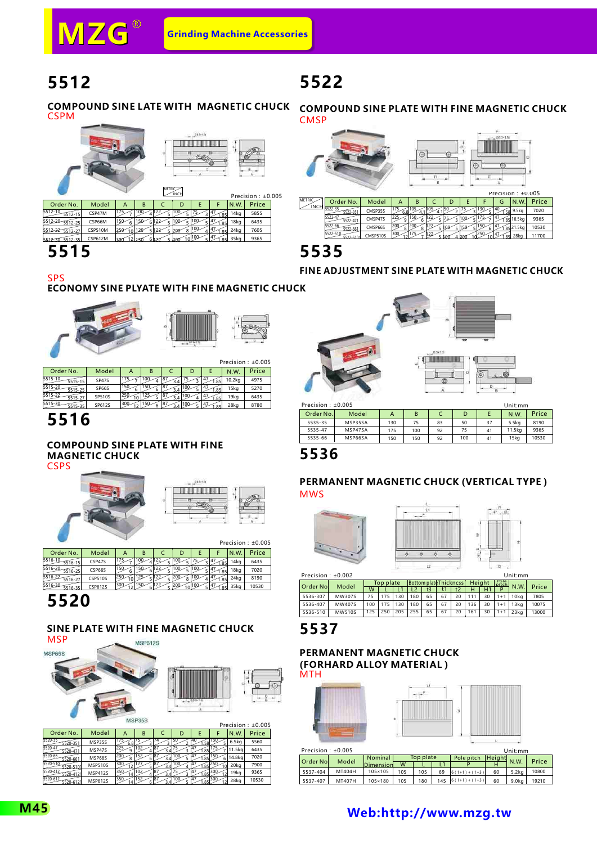# **5512**

## **5522**

**COMPOUND SINE LATE WITH MAGNETIC CHUCK** CSPM



## **5515**

**COMPOUND SINE PLATE WITH FINE MAGNETIC CHUCK CMSP** 



### **5535**

**FINE ADJUSTMENT SINE PLATE WITH MAGNETIC CHUCK**

#### **ECONOMY SINE PLYATE WITH FINE MAGNETIC CHUCK** SPS



|                    |        |     |     |      |        | <b>FICUSIUII.LU.UUJ</b> |
|--------------------|--------|-----|-----|------|--------|-------------------------|
| Order No.          | Model  | в   |     |      | N.W.   | Price                   |
| 5515-10<br>5515-15 | SP47S  |     | 3.4 | 1.85 | 10.2kg | 4975                    |
| 5515-20<br>5515-25 | SP66S  | 150 | 3.4 |      | 15kg   | 5270                    |
| 5515-22<br>5515-27 | SP510S |     |     |      | 19kg   | 6435                    |
| 5515-30<br>5515-35 | SP612S | 150 |     |      | 28kg   | 8780                    |
|                    |        |     |     |      |        |                         |

## **5516**

#### **COMPOUND SINE PLATE WITH FINE MAGNETIC CHUCK**

**CSPS** 





|                     |                |     |     |     |         |            |                     |                  | Precision: ±0.005 |
|---------------------|----------------|-----|-----|-----|---------|------------|---------------------|------------------|-------------------|
| Order No.           | Model          | А   | в   |     | D       |            |                     | N.W              | Price             |
| 5516-10<br>5516-15  | CSP47S         |     |     |     |         |            | 1.85                | 14 <sub>kq</sub> | 6435              |
| 15516-20<br>5516-25 | CSP66S         | 150 |     |     |         |            | $1.85$ <sup>1</sup> | 18kg             | 7020              |
| 5516-22<br>5516-27  | <b>CSP510S</b> |     | 125 |     | $\circ$ |            |                     | 24kg             | 8190              |
| 5516-30<br>5516-35  | CSP612S        | 300 | 150 | ،22 |         | $10^{100}$ |                     | 35ka             | 10530             |

# **5520**

#### **SINE PLATE WITH FINE MAGNETIC CHUCK MSP**



|                                  |                |           |     |           |     |             |          |        | Precision: ±0.005 |
|----------------------------------|----------------|-----------|-----|-----------|-----|-------------|----------|--------|-------------------|
| Order No.                        | Model          | А         | в   |           | D   |             |          | N.W    | Price             |
| 5520-35<br>5520-351              | MSP35S         | 6.8       |     |           |     | 141<br>1.58 |          | 6.5kg  | 5560              |
| 5520-47<br>5520-47               | MSP47S         | ۵         | 102 |           |     | (.85)       |          | 11.5kg | 6435              |
| 5520-66<br>5520-661              | MSP66S         | 200<br>8  | 152 | 87<br>3.4 | 100 | 14.<br>1.85 | 150<br>6 | 14.8kg | 7020              |
| 5520-510<br>5520-5101            | <b>MSP510S</b> | 300       |     |           | 100 | .85         |          | 20kg   | 7900              |
| 5520-412<br>520-412 <sup>.</sup> | <b>MSP412S</b> | 350<br>14 | 102 | 87<br>3.4 |     | 1.85        | 300      | 19kg   | 9365              |
| 5520-612<br>520-612              | <b>MSP612S</b> |           |     |           |     |             |          | 28kg   | 10530             |



| 5535-66 | MSP66SA | 150 | 150 |
|---------|---------|-----|-----|
| 5535-47 | MSP47SA | 175 | 100 |

#### **PERMANENT MAGNETIC CHUCK (VERTICAL TYPE ) MWS**





100

92 92

15kg

10530

41

Precision: +0.002

| Precision : $\pm 0.002$ |               |     |           |     |                        |    |     |    |               |    |               | Unit:mm |       |
|-------------------------|---------------|-----|-----------|-----|------------------------|----|-----|----|---------------|----|---------------|---------|-------|
| <b>Order Nol</b>        | Model         |     | Top plate |     | Bottom plate Thickness |    |     |    | <b>Height</b> |    | Pole<br>pitch |         | Price |
|                         |               | W   |           |     | L2                     | tЗ | t 1 | t2 | н             |    |               | N.W.    |       |
| 5536-307                | MW307S        | 75  |           | 130 | 180                    | 65 | 67  | 20 | 111           | 30 | $1 + 1$       | 10ka    | 7805  |
| 5536-407                | MW407S        | 100 |           | 130 | 180                    | 65 | 67  | 20 | 136           | 30 | $1 + 1$       | 13ka    | 10075 |
| 5536-510                | <b>MW510S</b> | 125 | 250       | 205 | 255                    | 65 | 67  | 20 | 161           | 30 | $1 + 1$       | 23ka    | 13000 |

### **5537**

#### **PERMANENT MAGNETIC CHUCK (FORHARD ALLOY MATERIAL) MTH**

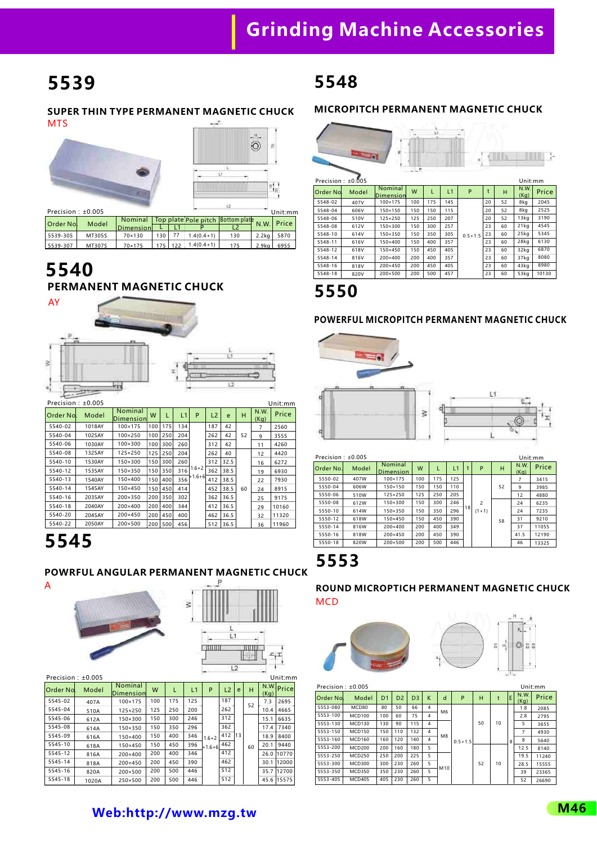# **5539**

#### **SUPER THIN TYPE PERMANENT MAGNETIC CHUCK MTS**



| PIECISION, IU.UUJ |        |                                                            |                  |           |              |     |          | unit:mr |
|-------------------|--------|------------------------------------------------------------|------------------|-----------|--------------|-----|----------|---------|
| Order Nol         | Model  | Nominal   Top plate Pole pitch   Bottom plate N.W.   Price |                  |           |              |     |          |         |
|                   |        | Dimension                                                  |                  |           |              |     |          |         |
| 5539-305          | MT305S | 70×130                                                     | 130 <sub>1</sub> |           | $1.4(0.4+1)$ | 130 | -2.2ka l | 5870    |
| 5539-307          | MT307S | 70×175                                                     |                  | $175$ 122 | $1.4(0.4+1)$ | 175 | 2.9kal   | 6955    |

## **5540 PERMANENT MAGNETIC CHUCK**



| .         |        |                             |     |     |     |           |                |      |    |              | --------- |
|-----------|--------|-----------------------------|-----|-----|-----|-----------|----------------|------|----|--------------|-----------|
| Order No. | Model  | <b>Nominal</b><br>Dimension | W   |     | L1  | P         | L <sub>2</sub> | e    | н  | N.W.<br>(Kq) | Price     |
| 5540-02   | 1018AY | 100×175                     | 100 | 175 | 134 |           | 187            | 42   |    | 7            | 2560      |
| 5540-04   | 1025AY | 100×250                     | 100 | 250 | 204 |           | 262            | 42   | 52 | 9            | 3555      |
| 5540-06   | 1030AY | 100×300                     | 100 | 300 | 260 |           | 312            | 42   |    | 11           | 4260      |
| 5540-08   | 1325AY | 125×250                     | 125 | 250 | 204 |           | 262            | 40   |    | 12           | 4420      |
| 5540-10   | 1530AY | 150×300                     | 150 | 300 | 260 |           | 312            | 32.5 |    | 16           | 6272      |
| 5540-12   | 1535AY | 150×350                     | 150 | 350 | 316 | $1.6 + 2$ | 362            | 38.5 |    | 19           | 6930      |
| 5540-13   | 1540AY | 150×400                     | 150 | 400 | 356 | 1+1.6+61  | 412            | 38.5 |    | 22           | 7930      |
| 5540-14   | 1545AY | 150×450                     | 150 | 450 | 414 |           | 452            | 38.5 | 60 | 24           | 8915      |
| 5540-16   | 2035AY | 200×350                     | 200 | 350 | 302 |           | 362            | 36.5 |    | 25           | 9175      |
| 5540-18   | 2040AY | 200×400                     | 200 | 400 | 344 |           | 412            | 36.5 |    | 29           | 10160     |
| 5540-20   | 2045AY | 200×450                     | 200 | 450 | 400 |           | 462            | 36.5 |    | 32           | 11320     |
| 5540-22   | 2050AY | 200×500                     | 200 | 500 | 456 |           | 512            | 36.5 |    | 36           | 11960     |
|           |        |                             |     |     |     |           |                |      |    |              |           |

# **5545**

A

## **POWRFUL ANGULAR PERMANENT MAGNETIC CHUCK**



| Order No. | Model | Nominal<br>Dimension | W   |     | L1  | P         | L2  | e  | н  | (Kq) | N.W. Price |
|-----------|-------|----------------------|-----|-----|-----|-----------|-----|----|----|------|------------|
| 5545-02   | 407A  | 100×175              | 100 | 175 | 125 |           | 187 |    | 52 | 7.3  | 2695       |
| 5545-04   | 510A  | 125×250              | 125 | 250 | 200 |           | 262 |    |    | 10.4 | 4665       |
| 5545-06   | 612A  | 150×300              | 150 | 300 | 246 |           | 312 |    |    | 15.1 | 6635       |
| 5545-08   | 614A  | 150×350              | 150 | 350 | 296 |           | 362 |    |    | 17.4 | 7340       |
| 5545-09   | 616A  | 150×400              | 150 | 400 | 346 | $1.6 + 2$ | 412 | 13 |    | 18.9 | 8400       |
| 5545-10   | 618A  | 150×450              | 150 | 450 | 396 | $+1.6+6$  | 462 |    | 60 | 20.1 | 9440       |
| 5545-12   | 816A  | 200×400              | 200 | 400 | 346 |           | 412 |    |    | 26.0 | 10770      |
| 5545-14   | 818A  | 200×450              | 200 | 450 | 390 |           | 462 |    |    | 30.1 | 12000      |
| 5545-16   | 820A  | 200×500              | 200 | 500 | 446 |           | 512 |    |    | 35.7 | 12700      |
| 5545-18   | 1020A | 250×500              | 200 | 500 | 446 |           | 512 |    |    | 45.6 | 15575      |

## **5548**

#### **MICROPITCH PERMANENT MAGNETIC CHUCK**



**5550**

#### **POWERFUL MICROPITCH PERMANENT MAGNETIC CHUCK**



| Precision: $±0.005$ |       |                             |     |     |     |    |                |    |              | Unit:mm |
|---------------------|-------|-----------------------------|-----|-----|-----|----|----------------|----|--------------|---------|
| Order No.           | Model | Nominal<br><b>Dimension</b> | W   | L   | L1  | t  | P              | н  | N.W.<br>(Kq) | Price   |
| 5550-02             | 407W  | 100×175                     | 100 | 175 | 125 |    |                |    |              | 3415    |
| 5550-04             | 606W  | 150×150                     | 150 | 150 | 110 |    |                | 52 | 9            | 3985    |
| 5550-06             | 510W  | $125 \times 250$            | 125 | 250 | 205 |    |                |    | 12           | 4880    |
| 5550-08             | 612W  | 150×300                     | 150 | 300 | 246 |    | $\overline{c}$ |    | 24           | 6235    |
| 5550-10             | 614W  | 150×350                     | 150 | 350 | 296 | 18 | $(1+1)$        |    | 24           | 7235    |
| 5550-12             | 618W  | 150×450                     | 150 | 450 | 390 |    |                | 58 | 31           | 9210    |
| 5550-14             | 816W  | 200×400                     | 200 | 400 | 349 |    |                |    | 37           | 11055   |
| 5550-16             | 818W  | 200×450                     | 200 | 450 | 390 |    |                |    | 41.5         | 12190   |
| 5550-18             | 820W  | 200×500                     | 200 | 500 | 446 |    |                |    | 46           | 13325   |
|                     |       |                             |     |     |     |    |                |    |              |         |

**5553**

#### **ROUND MICROPTICH PERMANENT MAGNETIC CHUCK MCD**





| Precision: ±0.005 |               |                |                |                |   |                |             |    |    |   |              | Unit:mm |
|-------------------|---------------|----------------|----------------|----------------|---|----------------|-------------|----|----|---|--------------|---------|
| Order Nol         | Model         | D <sub>1</sub> | D <sub>2</sub> | D <sub>3</sub> | K | d              | P           | н  | t  | E | N.W.<br>(Kq) | Price   |
| 5553-080          | MCD80         | 80             | 50             | 66             | 4 | M <sub>6</sub> |             |    |    |   | 1.8          | 2085    |
| 5553-100          | <b>MCD100</b> | 100            | 60             | 75             | 4 |                |             |    |    |   | 2.8          | 2795    |
| 5553-130          | MCD130        | 130            | 90             | 115            | 4 |                |             | 50 | 10 |   | 5            | 3655    |
| 5553-150          | <b>MCD150</b> | 150            | 110            | 132            | 4 | M <sub>8</sub> |             |    |    |   | 7            | 4930    |
| 5553-160          | MCD160        | 160            | 120            | 140            | 4 |                | $0.5 + 1.5$ |    |    | 8 | 8            | 5640    |
| 5553-200          | MCD200        | 200            | 160            | 180            | 5 |                |             |    |    |   | 12.5         | 8140    |
| 5553-250          | MCD250        | 250            | 200            | 225            | 5 |                |             |    |    |   | 19.5         | 11240   |
| 5553-300          | MCD300        | 300            | 230            | 260            | 5 | M10            |             | 52 | 10 |   | 28.5         | 15555   |
| 5553-350          | <b>MCD350</b> | 350            | 230            | 260            | 5 |                |             |    |    |   | 39           | 23365   |
| 5553-405          | <b>MCD405</b> | 405            | 230            | 260            | 5 |                |             |    |    |   | 52           | 26690   |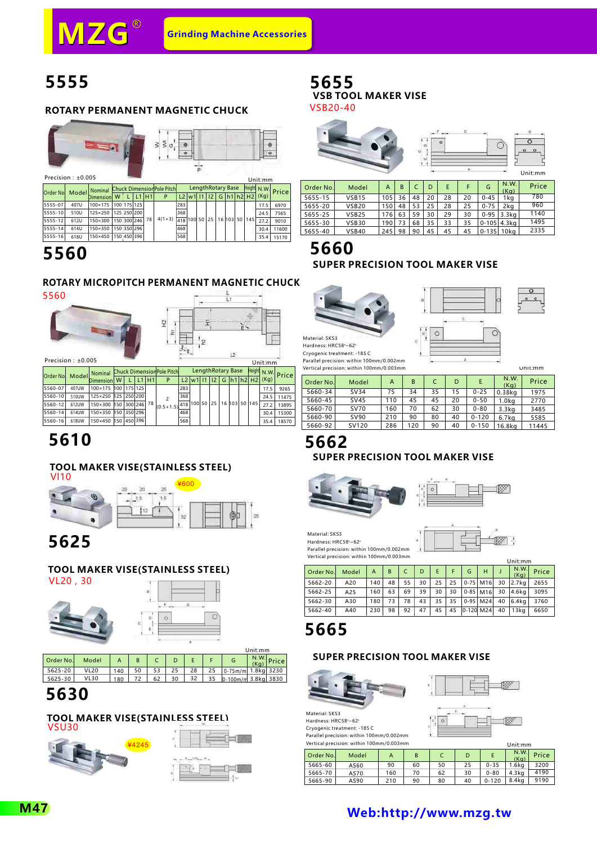## **5555**

#### **ROTARY PERMANENT MAGNETIC CHUCK**

|           | Precision: +0.005 |                                                  |   |             |                               |    |          |                 |               |            |                   |                    | Unit:mm             |       |
|-----------|-------------------|--------------------------------------------------|---|-------------|-------------------------------|----|----------|-----------------|---------------|------------|-------------------|--------------------|---------------------|-------|
| Order Nol | Model             | Nominal Chuck Dimension Pole Pitch<br>Dimensionl | W |             | L <sub>1</sub> H <sub>1</sub> |    | P        |                 | $L2$ w 1   11 | $\vert$ 12 | LengthRotary Base | $G$   h1   h2   H2 | Height N.W.<br>(Kg) | Price |
| 5555-07   | 407U              | 100×175                                          |   | 100 175 125 |                               |    |          | 283             |               |            |                   |                    | 17.5                | 6970  |
| 5555-10   | 510U              | 125×250                                          |   | 125 250 200 |                               |    |          | 368             |               |            |                   |                    | 24.5                | 7565  |
| 5555-12   | 612U              | 150×300                                          |   | 150 300 246 |                               | 78 | $4(1+3)$ | $418$ 100 50 25 |               |            | 16 103            | 50 145             | 27.2                | 9010  |
| 5555-14   | 614U              | 150×350                                          |   | 150 350 296 |                               |    |          | 468             |               |            |                   |                    | 30.4                | 11600 |
| 5555-16   | 618U              | 150×450                                          |   | 150 450 396 |                               |    |          | 568             |               |            |                   |                    | 35.4                | 15170 |

## **5560**

#### **ROTARY MICROPITCH PERMANENT MAGNETIC CHUCK**



#### 亩 L. 엎 Ŧ  $\tilde{z}$ E.  $\frac{1}{2}$ ÷y  $L2$

|         | Precision : $\pm 0.005$ |                                                    |         |         |               |     |                |   |                   |                             | Unit:mm           |                   |
|---------|-------------------------|----------------------------------------------------|---------|---------|---------------|-----|----------------|---|-------------------|-----------------------------|-------------------|-------------------|
|         |                         | Order No. Model Nominal Chuck Dimension Pole Pitch |         |         |               |     |                |   | LengthRotary Base |                             |                   | Height N.W. Price |
|         |                         | Dimension W                                        |         | L1   H1 | P             | L2  | $ w1 $ 11   12 | G |                   |                             | $ h1 h2 H2 $ (Kg) |                   |
| 5560-07 | 407UW                   | 100×175 100 175 125                                |         |         |               | 283 |                |   |                   |                             | 17.5              | 9265              |
| 5560-10 | 510UW                   | 125×250 125 250 200                                |         |         |               | 368 |                |   |                   |                             | 24.5              | 11475             |
| 5560-12 | 612UW                   | 150×300 150 300 246 78                             |         |         | $(0.5 + 1.5)$ |     |                |   |                   | 418 100 50 25 16 103 50 145 | 27.2              | 13895             |
| 5560-14 | 614UW                   | 150×350 150                                        | 350 296 |         |               | 468 |                |   |                   |                             | 30.4              | 15300             |
| 5560-16 | 618UW                   | 150×450 150 450 396                                |         |         |               | 568 |                |   |                   |                             | 35.4              | 18570             |

## **5610**

#### **TOOL MAKER VISE(STAINLESS STEEL)**



## **5625**

#### **TOOL MAKER VISE(STAINLESS STEEL)** VL20,30





|                                                       | N.W.                    |       |
|-------------------------------------------------------|-------------------------|-------|
| Order No.<br>Model<br>B<br>G                          | (Ka)                    | Price |
| <b>VL20</b><br>28<br>53<br>5625-20<br>25<br>50<br>140 | $0-75m/m$<br>1.8ka 3230 |       |
| 62<br>32<br>5625-30<br><b>VL30</b><br>72<br>30<br>180 | 0-100m/m 3.8kg 3830     |       |

## **5630**

#### **TOOL MAKER VISE(STAINLESS STEEL)**



### **5655 VSB TOOL MAKER VISE**





| Order No. | Model        | A   | B  |    | D  |    |    | G         | N.W.<br>(Kq)    | Price |
|-----------|--------------|-----|----|----|----|----|----|-----------|-----------------|-------|
| 5655-15   | <b>VSB15</b> | 105 | 36 | 48 | 20 | 28 | 20 | $0 - 45$  | 1kg             | 780   |
| 5655-20   | <b>VSB20</b> | 150 | 48 | 53 | 25 | 28 | 25 | $0 - 75$  | 2ka             | 960   |
| 5655-25   | <b>VSB25</b> | 176 | 63 | 59 | 30 | 29 | 30 |           | 0-95 3.3kg      | 1140  |
| 5655-30   | VSB30        | 190 | 73 | 68 | 35 | 33 | 35 |           | $0 - 105$ 4.3kg | 1495  |
| 5655-40   | VSB40        | 245 | 98 | 90 | 45 | 45 | 45 | $0 - 135$ | 10ka            | 2335  |

## **5660 SUPER PRECISION TOOL MAKER VISE**



Material: SKS3 Hardness: HRC58°~62° Cryogenic treatment: -185 C Parallel precision: within 100mm/0.002mm



|           | Vertical precision: within 100mm/0.003mm |     |     |    |    |           |                   | Unit:mm |
|-----------|------------------------------------------|-----|-----|----|----|-----------|-------------------|---------|
| Order No. | Model                                    | A   | B   |    | D  | E         | N.W.<br>(Kq)      | Price   |
| 5660-34   | <b>SV34</b>                              | 75  | 34  | 35 | 15 | $0 - 25$  | $0.38$ kg         | 1975    |
| 5660-45   | <b>SV45</b>                              | 110 | 45  | 45 | 20 | $0 - 50$  | 1.0 <sub>kq</sub> | 2770    |
| 5660-70   | <b>SV70</b>                              | 160 | 70  | 62 | 30 | $0 - 80$  | 3.3 <sub>kq</sub> | 3485    |
| 5660-90   | SV90                                     | 210 | 90  | 80 | 40 | $0 - 120$ | 6.7 <sub>kq</sub> | 5585    |
| 5660-92   | SV120                                    | 286 | 120 | 90 | 40 | $0 - 150$ | 16.8kg            | 11445   |

 $\epsilon$ 

## **5662**

#### **SUPER PRECISION TOOL MAKER VISE**





Material: SKS3 Hardness: HRC58°~62° Parallel precision: within 100mm/0.002mm Vertical precision: within 100mm/0.003mm



|           |       |     |    |    |    |    |    |           |              |    | Unit:mm          |       |
|-----------|-------|-----|----|----|----|----|----|-----------|--------------|----|------------------|-------|
| Order No. | Model | A   | B  |    | D  | E  |    | G         | н            |    | N.W.<br>(Ka)     | Price |
| 5662-20   | A20   | 140 | 48 | 55 | 30 | 25 | 25 |           | $0-75$ M16   | 30 | $2.7k$ a         | 2655  |
| 5662-25   | A25   | 160 | 63 | 69 | 39 | 30 | 30 |           | $0 - 85$ M16 | 30 | $4.6$ ka         | 3095  |
| 5662-30   | A30   | 180 | 73 | 78 | 43 | 35 | 35 |           | $0-95$ M24   | 40 | $6.4k$ a         | 3760  |
| 5662-40   | A40   | 230 | 98 | 92 | 47 | 45 | 45 | 0-120 M24 |              | 40 | 13 <sub>ka</sub> | 6650  |

## **5665**

Material: SKS3 Hardness: HRC58°~62° Cryogenic treatment: -185 C Parallel precision: within 100mm/0.002mm

#### **SUPER PRECISION TOOL MAKER VISE**







|              | Vertical precision: within 100mm/0.003mm |     |    |    |    |           | Unit:mm          |       |
|--------------|------------------------------------------|-----|----|----|----|-----------|------------------|-------|
| l Order No.l | Model                                    |     | B  |    | D  |           | N.W.<br>(Ka)     | Price |
| 5665-60      | AS60                                     | 90  | 60 | 50 | 25 | $0 - 35$  | $1.6k$ a         | 3200  |
| 5665-70      | AS70                                     | 160 | 70 | 62 | 30 | $0 - 80$  | $4.3$ ka         | 4190  |
| 5665-90      | AS90                                     | 210 | 90 | 80 | 40 | $0 - 120$ | 8.4 <sub>k</sub> | 9190  |